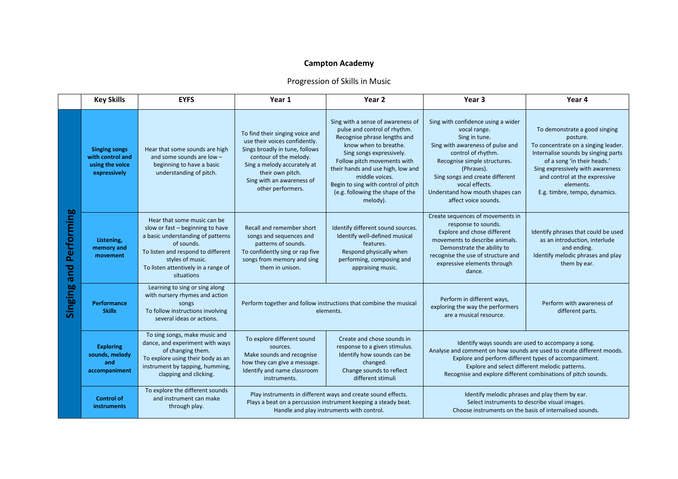## **Campton Academy**

## Progression of Skills in Music

|                              | <b>Key Skills</b>                                                           | <b>EYFS</b>                                                                                                                                                                                                                       | Year 1                                                                                                                                                                                                                            | Year 2                                                                                                                                                                                                                                                                                                                              | Year <sub>3</sub>                                                                                                                                                                                                                                                                                       | Year 4                                                                                                                                                                                                                                                                    |
|------------------------------|-----------------------------------------------------------------------------|-----------------------------------------------------------------------------------------------------------------------------------------------------------------------------------------------------------------------------------|-----------------------------------------------------------------------------------------------------------------------------------------------------------------------------------------------------------------------------------|-------------------------------------------------------------------------------------------------------------------------------------------------------------------------------------------------------------------------------------------------------------------------------------------------------------------------------------|---------------------------------------------------------------------------------------------------------------------------------------------------------------------------------------------------------------------------------------------------------------------------------------------------------|---------------------------------------------------------------------------------------------------------------------------------------------------------------------------------------------------------------------------------------------------------------------------|
| Performing<br>bue<br>Singing | <b>Singing songs</b><br>with control and<br>using the voice<br>expressively | Hear that some sounds are high<br>and some sounds are low -<br>beginning to have a basic<br>understanding of pitch.                                                                                                               | To find their singing voice and<br>use their voices confidently.<br>Sings broadly in tune, follows<br>contour of the melody.<br>Sing a melody accurately at<br>their own pitch.<br>Sing with an awareness of<br>other performers. | Sing with a sense of awareness of<br>pulse and control of rhythm.<br>Recognise phrase lengths and<br>know when to breathe.<br>Sing songs expressively.<br>Follow pitch movements with<br>their hands and use high, low and<br>middle voices.<br>Begin to sing with control of pitch<br>(e.g. following the shape of the<br>melody). | Sing with confidence using a wider<br>vocal range.<br>Sing in tune.<br>Sing with awareness of pulse and<br>control of rhythm.<br>Recognise simple structures.<br>(Phrases).<br>Sing songs and create different<br>vocal effects.<br>Understand how mouth shapes can<br>affect voice sounds.             | To demonstrate a good singing<br>posture.<br>To concentrate on a singing leader.<br>Internalise sounds by singing parts<br>of a song 'in their heads.'<br>Sing expressively with awareness<br>and control at the expressive<br>elements.<br>E.g. timbre, tempo, dynamics. |
|                              | Listening,<br>memory and<br>movement                                        | Hear that some music can be<br>slow or fast - beginning to have<br>a basic understanding of patterns<br>of sounds.<br>To listen and respond to different<br>styles of music.<br>To listen attentively in a range of<br>situations | Recall and remember short<br>songs and sequences and<br>patterns of sounds.<br>To confidently sing or rap five<br>songs from memory and sing<br>them in unison.                                                                   | Identify different sound sources.<br>Identify well-defined musical<br>features.<br>Respond physically when<br>performing, composing and<br>appraising music.                                                                                                                                                                        | Create sequences of movements in<br>response to sounds.<br>Explore and chose different<br>movements to describe animals.<br>Demonstrate the ability to<br>recognise the use of structure and<br>expressive elements through<br>dance.                                                                   | Identify phrases that could be used<br>as an introduction, interlude<br>and ending.<br>Identify melodic phrases and play<br>them by ear.                                                                                                                                  |
|                              | Performance<br><b>Skills</b>                                                | Learning to sing or sing along<br>with nursery rhymes and action<br>songs<br>To follow instructions involving<br>several ideas or actions.                                                                                        | Perform together and follow instructions that combine the musical<br>elements.                                                                                                                                                    |                                                                                                                                                                                                                                                                                                                                     | Perform in different ways,<br>exploring the way the performers<br>are a musical resource.                                                                                                                                                                                                               | Perform with awareness of<br>different parts.                                                                                                                                                                                                                             |
|                              | <b>Exploring</b><br>sounds, melody<br>and<br>accompaniment                  | To sing songs, make music and<br>dance, and experiment with ways<br>of changing them.<br>To explore using their body as an<br>instrument by tapping, humming,<br>clapping and clicking.                                           | To explore different sound<br>sources.<br>Make sounds and recognise<br>how they can give a message.<br>Identify and name classroom<br>instruments.                                                                                | Create and chose sounds in<br>response to a given stimulus.<br>Identify how sounds can be<br>changed.<br>Change sounds to reflect<br>different stimuli                                                                                                                                                                              | Identify ways sounds are used to accompany a song.<br>Analyse and comment on how sounds are used to create different moods.<br>Explore and perform different types of accompaniment.<br>Explore and select different melodic patterns.<br>Recognise and explore different combinations of pitch sounds. |                                                                                                                                                                                                                                                                           |
|                              | <b>Control of</b><br><b>instruments</b>                                     | To explore the different sounds<br>and instrument can make<br>through play.                                                                                                                                                       | Play instruments in different ways and create sound effects.<br>Plays a beat on a percussion instrument keeping a steady beat.<br>Handle and play instruments with control.                                                       |                                                                                                                                                                                                                                                                                                                                     | Identify melodic phrases and play them by ear.<br>Select instruments to describe visual images.<br>Choose instruments on the basis of internalised sounds.                                                                                                                                              |                                                                                                                                                                                                                                                                           |